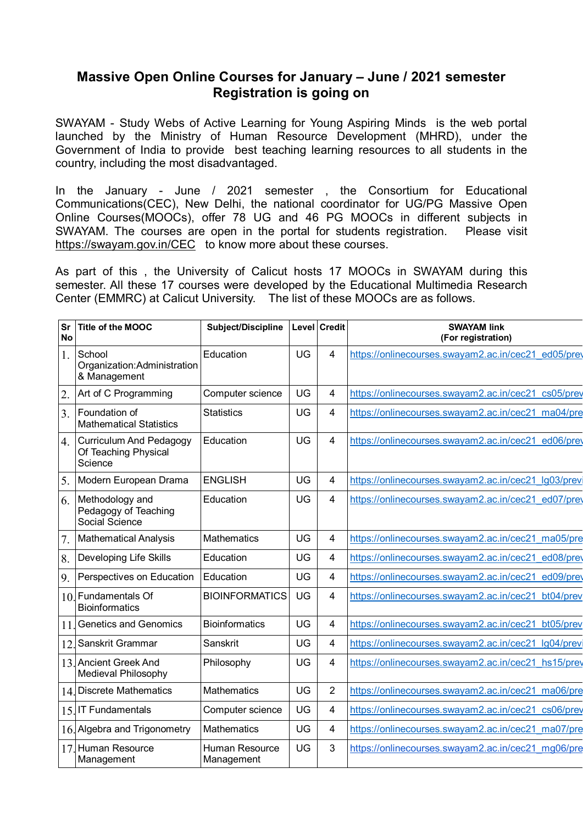## **Massive Open Online Courses for January – June / 2021 semester Registration is going on**

SWAYAM - Study Webs of Active Learning for Young Aspiring Minds is the web portal launched by the Ministry of Human Resource Development (MHRD), under the Government of India to provide best teaching learning resources to all students in the country, including the most disadvantaged.

In the January - June / 2021 semester , the Consortium for Educational Communications(CEC), New Delhi, the national coordinator for UG/PG Massive Open Online Courses(MOOCs), offer 78 UG and 46 PG MOOCs in different subjects in SWAYAM. The courses are open in the portal for students registration. Please visit <https://swayam.gov.in/CEC>to know more about these courses.

As part of this , the University of Calicut hosts 17 MOOCs in SWAYAM during this semester. All these 17 courses were developed by the Educational Multimedia Research Center (EMMRC) at Calicut University. The list of these MOOCs are as follows.

| Sr<br><b>No</b>  | <b>Title of the MOOC</b>                                          | Subject/Discipline           |    | Level Credit   | <b>SWAYAM link</b><br>(For registration)            |
|------------------|-------------------------------------------------------------------|------------------------------|----|----------------|-----------------------------------------------------|
| 1.               | School<br>Organization: Administration<br>& Management            | Education                    | UG | 4              | https://onlinecourses.swayam2.ac.in/cec21 ed05/prev |
| $\overline{2}$ . | Art of C Programming                                              | Computer science             | UG | 4              | https://onlinecourses.swayam2.ac.in/cec21_cs05/prev |
| 3.               | Foundation of<br><b>Mathematical Statistics</b>                   | <b>Statistics</b>            | UG | $\overline{4}$ | https://onlinecourses.swayam2.ac.in/cec21_ma04/pre  |
| $\overline{4}$ . | <b>Curriculum And Pedagogy</b><br>Of Teaching Physical<br>Science | Education                    | UG | $\overline{4}$ | https://onlinecourses.swayam2.ac.in/cec21_ed06/prev |
| 5.               | Modern European Drama                                             | <b>ENGLISH</b>               | UG | $\overline{4}$ | https://onlinecourses.swayam2.ac.in/cec21 lg03/prev |
| 6.               | Methodology and<br>Pedagogy of Teaching<br>Social Science         | Education                    | UG | $\overline{4}$ | https://onlinecourses.swayam2.ac.in/cec21_ed07/prev |
| 7.               | <b>Mathematical Analysis</b>                                      | <b>Mathematics</b>           | UG | $\overline{4}$ | https://onlinecourses.swayam2.ac.in/cec21 ma05/pre  |
| 8.               | Developing Life Skills                                            | Education                    | UG | $\overline{4}$ | https://onlinecourses.swayam2.ac.in/cec21 ed08/prev |
| 9.               | Perspectives on Education                                         | Education                    | UG | $\overline{4}$ | https://onlinecourses.swayam2.ac.in/cec21 ed09/prev |
|                  | 10. Fundamentals Of<br><b>Bioinformatics</b>                      | <b>BIOINFORMATICS</b>        | UG | 4              | https://onlinecourses.swayam2.ac.in/cec21_bt04/prev |
| 11               | Genetics and Genomics                                             | <b>Bioinformatics</b>        | UG | $\overline{4}$ | https://onlinecourses.swayam2.ac.in/cec21_bt05/prev |
| 12               | Sanskrit Grammar                                                  | Sanskrit                     | UG | $\overline{4}$ | https://onlinecourses.swayam2.ac.in/cec21 lg04/prev |
|                  | 13. Ancient Greek And<br>Medieval Philosophy                      | Philosophy                   | UG | $\overline{4}$ | https://onlinecourses.swayam2.ac.in/cec21_hs15/prev |
|                  | 14. Discrete Mathematics                                          | <b>Mathematics</b>           | UG | $\overline{2}$ | https://onlinecourses.swayam2.ac.in/cec21_ma06/pre  |
|                  | 15. IT Fundamentals                                               | Computer science             | UG | $\overline{4}$ | https://onlinecourses.swayam2.ac.in/cec21_cs06/prev |
|                  | 16. Algebra and Trigonometry                                      | <b>Mathematics</b>           | UG | $\overline{4}$ | https://onlinecourses.swayam2.ac.in/cec21 ma07/pre  |
| 17               | Human Resource<br>Management                                      | Human Resource<br>Management | UG | 3              | https://onlinecourses.swayam2.ac.in/cec21_mg06/pre  |